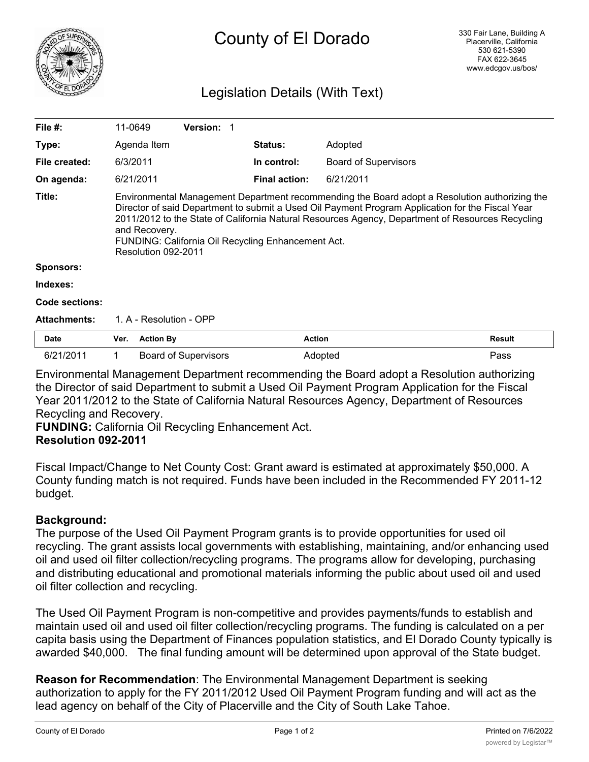

## Legislation Details (With Text)

| File #:             |                                                                                                                                                                                                                                                                                                                                                                                                     | 11-0649          | <b>Version:</b>             |  |                      |                             |        |  |
|---------------------|-----------------------------------------------------------------------------------------------------------------------------------------------------------------------------------------------------------------------------------------------------------------------------------------------------------------------------------------------------------------------------------------------------|------------------|-----------------------------|--|----------------------|-----------------------------|--------|--|
| Type:               |                                                                                                                                                                                                                                                                                                                                                                                                     | Agenda Item      |                             |  | <b>Status:</b>       | Adopted                     |        |  |
| File created:       |                                                                                                                                                                                                                                                                                                                                                                                                     | 6/3/2011         |                             |  | In control:          | <b>Board of Supervisors</b> |        |  |
| On agenda:          |                                                                                                                                                                                                                                                                                                                                                                                                     | 6/21/2011        |                             |  | <b>Final action:</b> | 6/21/2011                   |        |  |
| Title:              | Environmental Management Department recommending the Board adopt a Resolution authorizing the<br>Director of said Department to submit a Used Oil Payment Program Application for the Fiscal Year<br>2011/2012 to the State of California Natural Resources Agency, Department of Resources Recycling<br>and Recovery.<br>FUNDING: California Oil Recycling Enhancement Act.<br>Resolution 092-2011 |                  |                             |  |                      |                             |        |  |
| <b>Sponsors:</b>    |                                                                                                                                                                                                                                                                                                                                                                                                     |                  |                             |  |                      |                             |        |  |
| Indexes:            |                                                                                                                                                                                                                                                                                                                                                                                                     |                  |                             |  |                      |                             |        |  |
| Code sections:      |                                                                                                                                                                                                                                                                                                                                                                                                     |                  |                             |  |                      |                             |        |  |
| <b>Attachments:</b> | 1. A - Resolution - OPP                                                                                                                                                                                                                                                                                                                                                                             |                  |                             |  |                      |                             |        |  |
| <b>Date</b>         | Ver.                                                                                                                                                                                                                                                                                                                                                                                                | <b>Action By</b> |                             |  | <b>Action</b>        |                             | Result |  |
| 6/21/2011           |                                                                                                                                                                                                                                                                                                                                                                                                     |                  | <b>Board of Supervisors</b> |  |                      | Adopted                     | Pass   |  |

Environmental Management Department recommending the Board adopt a Resolution authorizing the Director of said Department to submit a Used Oil Payment Program Application for the Fiscal Year 2011/2012 to the State of California Natural Resources Agency, Department of Resources Recycling and Recovery.

**FUNDING:** California Oil Recycling Enhancement Act. **Resolution 092-2011**

Fiscal Impact/Change to Net County Cost: Grant award is estimated at approximately \$50,000. A County funding match is not required. Funds have been included in the Recommended FY 2011-12 budget.

## **Background:**

The purpose of the Used Oil Payment Program grants is to provide opportunities for used oil recycling. The grant assists local governments with establishing, maintaining, and/or enhancing used oil and used oil filter collection/recycling programs. The programs allow for developing, purchasing and distributing educational and promotional materials informing the public about used oil and used oil filter collection and recycling.

The Used Oil Payment Program is non-competitive and provides payments/funds to establish and maintain used oil and used oil filter collection/recycling programs. The funding is calculated on a per capita basis using the Department of Finances population statistics, and El Dorado County typically is awarded \$40,000. The final funding amount will be determined upon approval of the State budget.

**Reason for Recommendation**: The Environmental Management Department is seeking authorization to apply for the FY 2011/2012 Used Oil Payment Program funding and will act as the lead agency on behalf of the City of Placerville and the City of South Lake Tahoe.